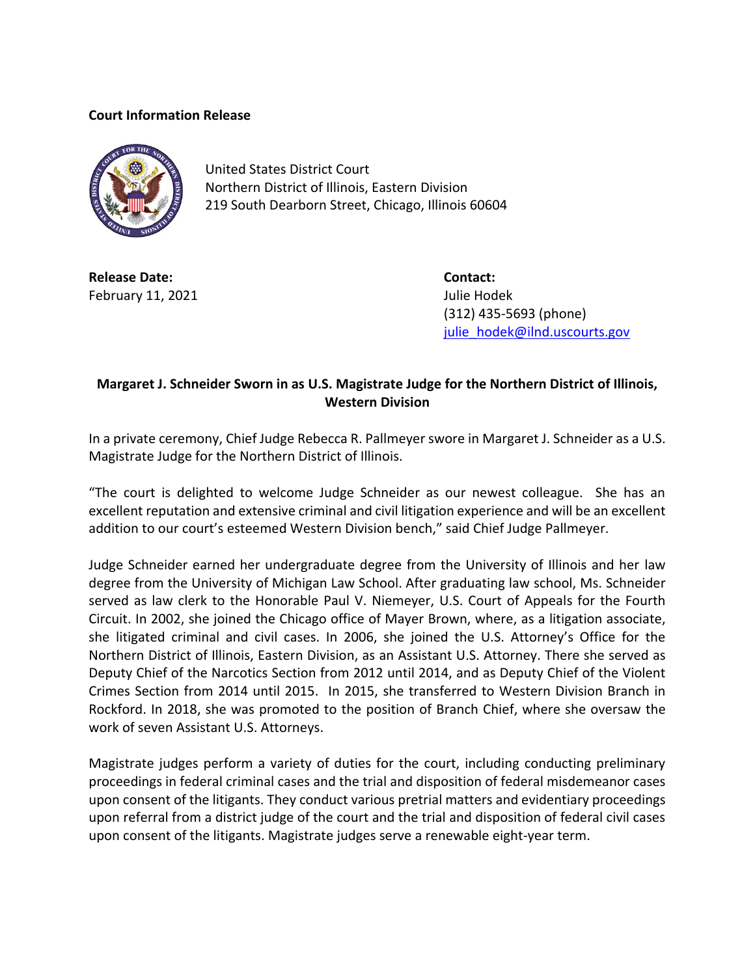## **Court Information Release**



United States District Court Northern District of Illinois, Eastern Division 219 South Dearborn Street, Chicago, Illinois 60604

**Release Date: Contact:** February 11, 2021 **Julie Hodek** 

(312) 435-5693 (phone) [julie\\_hodek@ilnd.uscourts.gov](mailto:julie_hodek@ilnd.uscourts.gov)

## **Margaret J. Schneider Sworn in as U.S. Magistrate Judge for the Northern District of Illinois, Western Division**

In a private ceremony, Chief Judge Rebecca R. Pallmeyer swore in Margaret J. Schneider as a U.S. Magistrate Judge for the Northern District of Illinois.

"The court is delighted to welcome Judge Schneider as our newest colleague. She has an excellent reputation and extensive criminal and civil litigation experience and will be an excellent addition to our court's esteemed Western Division bench," said Chief Judge Pallmeyer.

Judge Schneider earned her undergraduate degree from the University of Illinois and her law degree from the University of Michigan Law School. After graduating law school, Ms. Schneider served as law clerk to the Honorable Paul V. Niemeyer, U.S. Court of Appeals for the Fourth Circuit. In 2002, she joined the Chicago office of Mayer Brown, where, as a litigation associate, she litigated criminal and civil cases. In 2006, she joined the U.S. Attorney's Office for the Northern District of Illinois, Eastern Division, as an Assistant U.S. Attorney. There she served as Deputy Chief of the Narcotics Section from 2012 until 2014, and as Deputy Chief of the Violent Crimes Section from 2014 until 2015. In 2015, she transferred to Western Division Branch in Rockford. In 2018, she was promoted to the position of Branch Chief, where she oversaw the work of seven Assistant U.S. Attorneys.

Magistrate judges perform a variety of duties for the court, including conducting preliminary proceedings in federal criminal cases and the trial and disposition of federal misdemeanor cases upon consent of the litigants. They conduct various pretrial matters and evidentiary proceedings upon referral from a district judge of the court and the trial and disposition of federal civil cases upon consent of the litigants. Magistrate judges serve a renewable eight-year term.